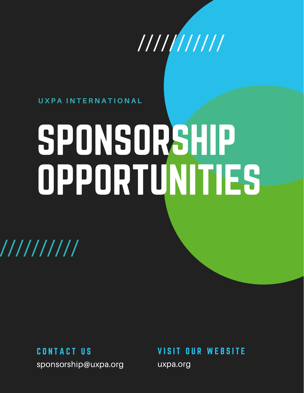## 

**U X P A I N T E R N A T I O N A L**

# SPONSORSHIP OPPORTUNITIES

//////////

C O N T A C T U S

sponsorship@uxpa.org

**VISIT OUR WEBSITE** 

uxpa.org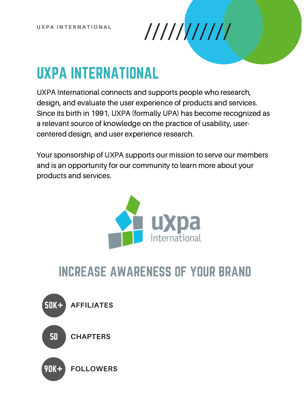# 

## UXPA INTERNATIONAL

UXPA International connects and supports people who research, design, and evaluate the user experience of products and services. Since its birth in 1991, UXPA (formally UPA) has become recognized as a relevant source of knowledge on the practice of usability, usercentered design, and user experience research.

Your sponsorship of UXPA supports our mission to serve our members and is an opportunity for our community to learn more about your products and services.



#### INCREASE AWARENESS OF YOUR BRAND

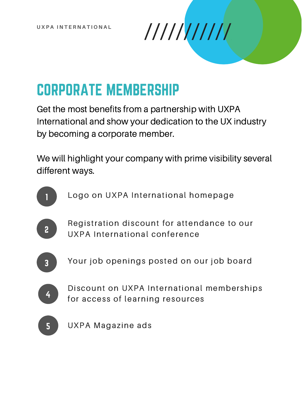#### CORPORATE MEMBERSHIP

Get the most benefits from a partnership with UXPA International and show your dedication to the UX industry by becoming a corporate member.

We will highlight your company with prime visibility several different ways.

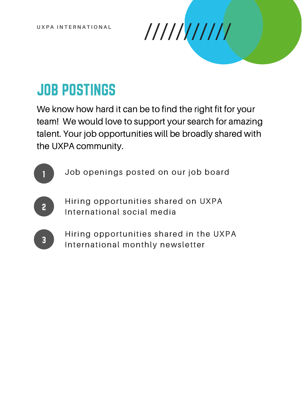#### JOB POSTINGS

We know how hard it can be to find the right fit for your team! We would love to support your search for amazing talent. Your job opportunities will be broadly shared with the UXPA community.



Hiring opportunities shared on UXPA International social media



2

Hiring opportunities shared in the UXPA International monthly newsletter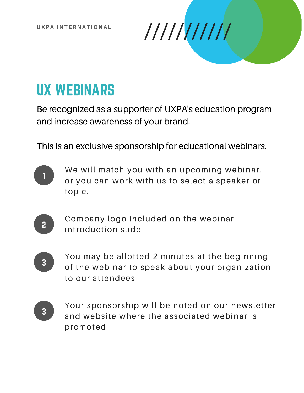#### UX WEBINARS

Be recognized as a supporter of UXPA's education program and increase awareness of your brand.

This is an exclusive sponsorship for educational webinars.



We will match you with an upcoming webinar, or you can work with us to select a speaker or topic.



Company logo included on the webinar introduction slide



You may be allotted 2 minutes at the beginning of the webinar to speak about your organization to our attendees



Your sponsorship will be noted on our newsletter and website where the associated webinar is promoted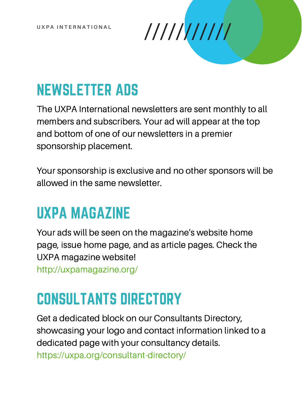### NEWSLETTER ADS

The UXPA International newsletters are sent monthly to all members and subscribers. Your ad will appear at the top and bottom of one of our newsletters in a premier sponsorship placement.

Your sponsorship is exclusive and no other sponsors will be allowed in the same newsletter.

#### UXPA MAGAZINE

Your ads will be seen on the magazine's website home page, issue home page, and as article pages. Check the UXPA magazine website! http://uxpamagazine.org/

#### CONSULTANTS DIRECTORY

Get a dedicated block on our Consultants Directory, showcasing your logo and contact information linked to a dedicated page with your consultancy details. https://uxpa.org/consultant-directory/